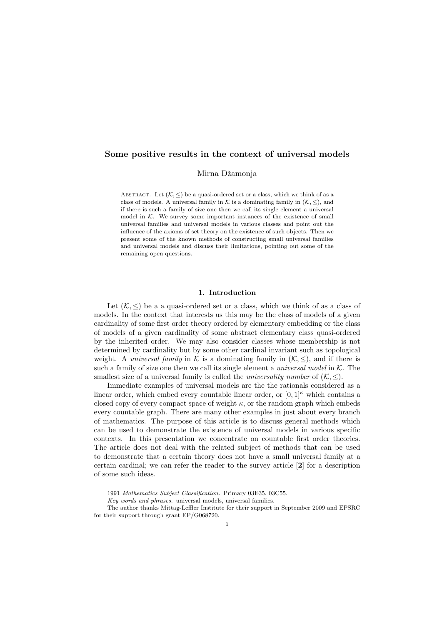# Some positive results in the context of universal models

Mirna Džamonja

ABSTRACT. Let  $(K, \leq)$  be a quasi-ordered set or a class, which we think of as a class of models. A universal family in K is a dominating family in  $(K, \le)$ , and if there is such a family of size one then we call its single element a universal model in  $K$ . We survey some important instances of the existence of small universal families and universal models in various classes and point out the influence of the axioms of set theory on the existence of such objects. Then we present some of the known methods of constructing small universal families and universal models and discuss their limitations, pointing out some of the remaining open questions.

### 1. Introduction

Let  $(K, \leq)$  be a a quasi-ordered set or a class, which we think of as a class of models. In the context that interests us this may be the class of models of a given cardinality of some first order theory ordered by elementary embedding or the class of models of a given cardinality of some abstract elementary class quasi-ordered by the inherited order. We may also consider classes whose membership is not determined by cardinality but by some other cardinal invariant such as topological weight. A *universal family* in K is a dominating family in  $(K, \leq)$ , and if there is such a family of size one then we call its single element a *universal model* in  $K$ . The smallest size of a universal family is called the *universality number* of  $(K, \leq)$ .

Immediate examples of universal models are the the rationals considered as a linear order, which embed every countable linear order, or  $[0, 1]^{\kappa}$  which contains a closed copy of every compact space of weight  $\kappa$ , or the random graph which embeds every countable graph. There are many other examples in just about every branch of mathematics. The purpose of this article is to discuss general methods which can be used to demonstrate the existence of universal models in various specific contexts. In this presentation we concentrate on countable first order theories. The article does not deal with the related subject of methods that can be used to demonstrate that a certain theory does not have a small universal family at a certain cardinal; we can refer the reader to the survey article [2] for a description of some such ideas.

<sup>1991</sup> Mathematics Subject Classification. Primary 03E35, 03C55.

Key words and phrases. universal models, universal families.

The author thanks Mittag-Leffler Institute for their support in September 2009 and EPSRC for their support through grant EP/G068720.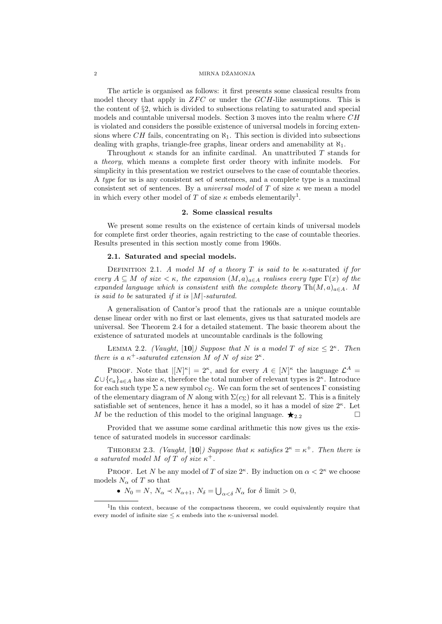The article is organised as follows: it first presents some classical results from model theory that apply in  $ZFC$  or under the  $GCH$ -like assumptions. This is the content of §2, which is divided to subsections relating to saturated and special models and countable universal models. Section 3 moves into the realm where CH is violated and considers the possible existence of universal models in forcing extensions where CH fails, concentrating on  $\aleph_1$ . This section is divided into subsections dealing with graphs, triangle-free graphs, linear orders and amenability at  $\aleph_1$ .

Throughout  $\kappa$  stands for an infinite cardinal. An unattributed T stands for a theory, which means a complete first order theory with infinite models. For simplicity in this presentation we restrict ourselves to the case of countable theories. A type for us is any consistent set of sentences, and a complete type is a maximal consistent set of sentences. By a *universal model* of T of size  $\kappa$  we mean a model in which every other model of T of size  $\kappa$  embeds elementarily<sup>1</sup>.

### 2. Some classical results

We present some results on the existence of certain kinds of universal models for complete first order theories, again restricting to the case of countable theories. Results presented in this section mostly come from 1960s.

## 2.1. Saturated and special models.

DEFINITION 2.1. A model M of a theory T is said to be  $\kappa$ -saturated if for every  $A \subseteq M$  of size  $\lt \kappa$ , the expansion  $(M, a)_{a \in A}$  realises every type  $\Gamma(x)$  of the expanded language which is consistent with the complete theory  $\text{Th}(M, a)_{a \in A}$ . M is said to be saturated if it is  $|M|$ -saturated.

A generalisation of Cantor's proof that the rationals are a unique countable dense linear order with no first or last elements, gives us that saturated models are universal. See Theorem 2.4 for a detailed statement. The basic theorem about the existence of saturated models at uncountable cardinals is the following

LEMMA 2.2. (Vaught, [10]) Suppose that N is a model T of size  $\leq 2^{\kappa}$ . Then there is a  $\kappa^+$ -saturated extension M of N of size  $2^{\kappa}$ .

PROOF. Note that  $|[N]^{\kappa}| = 2^{\kappa}$ , and for every  $A \in [N]^{\kappa}$  the language  $\mathcal{L}^{A} =$  $\mathcal{L} \cup \{c_a\}_{a \in A}$  has size  $\kappa$ , therefore the total number of relevant types is  $2^{\kappa}$ . Introduce for each such type  $\Sigma$  a new symbol  $c_{\Sigma}$ . We can form the set of sentences Γ consisting of the elementary diagram of N along with  $\Sigma(c_{\Sigma})$  for all relevant  $\Sigma$ . This is a finitely satisfiable set of sentences, hence it has a model, so it has a model of size  $2^{\kappa}$ . Let M be the reduction of this model to the original language.  $\star_{2.2}$ 

Provided that we assume some cardinal arithmetic this now gives us the existence of saturated models in successor cardinals:

THEOREM 2.3. (Vaught, [10]) Suppose that  $\kappa$  satisfies  $2^{\kappa} = \kappa^+$ . Then there is a saturated model M of T of size  $\kappa^+$ .

PROOF. Let N be any model of T of size  $2^{\kappa}$ . By induction on  $\alpha < 2^{\kappa}$  we choose models  $N_{\alpha}$  of T so that

•  $N_0 = N$ ,  $N_\alpha \prec N_{\alpha+1}$ ,  $N_\delta = \bigcup_{\alpha < \delta} N_\alpha$  for  $\delta$  limit  $> 0$ ,

<sup>&</sup>lt;sup>1</sup>In this context, because of the compactness theorem, we could equivalently require that every model of infinite size  $\leq \kappa$  embeds into the  $\kappa$ -universal model.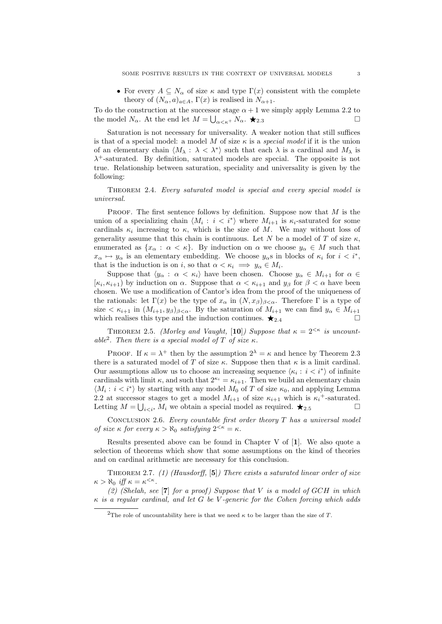• For every  $A \subseteq N_\alpha$  of size  $\kappa$  and type  $\Gamma(x)$  consistent with the complete theory of  $(N_\alpha, a)_{a \in A}$ ,  $\Gamma(x)$  is realised in  $N_{\alpha+1}$ .

To do the construction at the successor stage  $\alpha + 1$  we simply apply Lemma 2.2 to the model  $N_{\alpha}$ . At the end let  $M = \bigcup_{\alpha < \kappa^+} N_{\alpha}$ .  $\bigstar_{2.3}$ 

Saturation is not necessary for universality. A weaker notion that still suffices is that of a special model: a model M of size  $\kappa$  is a special model if it is the union of an elementary chain  $\langle M_\lambda : \lambda < \lambda^* \rangle$  such that each  $\lambda$  is a cardinal and  $M_\lambda$  is  $\lambda^+$ -saturated. By definition, saturated models are special. The opposite is not true. Relationship between saturation, speciality and universality is given by the following:

Theorem 2.4. Every saturated model is special and every special model is universal.

PROOF. The first sentence follows by definition. Suppose now that  $M$  is the union of a specializing chain  $\langle M_i : i < i^* \rangle$  where  $M_{i+1}$  is  $\kappa_i$ -saturated for some cardinals  $\kappa_i$  increasing to  $\kappa$ , which is the size of M. We may without loss of generality assume that this chain is continuous. Let N be a model of T of size  $\kappa$ , enumerated as  $\{x_\alpha : \alpha < \kappa\}$ . By induction on  $\alpha$  we choose  $y_\alpha \in M$  such that  $x_{\alpha} \mapsto y_{\alpha}$  is an elementary embedding. We choose  $y_{\alpha}$ s in blocks of  $\kappa_i$  for  $i < i^*$ , that is the induction is on i, so that  $\alpha < \kappa_i \implies y_\alpha \in M_i$ .

Suppose that  $\langle y_\alpha : \alpha < \kappa_i \rangle$  have been chosen. Choose  $y_\alpha \in M_{i+1}$  for  $\alpha \in$  $[\kappa_i, \kappa_{i+1}]$  by induction on  $\alpha$ . Suppose that  $\alpha < \kappa_{i+1}$  and  $y_\beta$  for  $\beta < \alpha$  have been chosen. We use a modification of Cantor's idea from the proof of the uniqueness of the rationals: let  $\Gamma(x)$  be the type of  $x_{\alpha}$  in  $(N, x_{\beta})_{\beta < \alpha}$ . Therefore  $\Gamma$  is a type of size  $\langle \kappa_{i+1} \text{ in } (M_{i+1}, y_{\beta})_{\beta < \alpha}$ . By the saturation of  $M_{i+1}$  we can find  $y_{\alpha} \in M_{i+1}$ which realises this type and the induction continues.  $\star_{2.4}$ 

THEOREM 2.5. (Morley and Vaught, [10]) Suppose that  $\kappa = 2^{< \kappa}$  is uncountable<sup>2</sup>. Then there is a special model of T of size  $\kappa$ .

PROOF. If  $\kappa = \lambda^+$  then by the assumption  $2^{\lambda} = \kappa$  and hence by Theorem 2.3 there is a saturated model of T of size  $\kappa$ . Suppose then that  $\kappa$  is a limit cardinal. Our assumptions allow us to choose an increasing sequence  $\langle \kappa_i : i \langle i^* \rangle$  of infinite cardinals with limit  $\kappa$ , and such that  $2^{\kappa_i} = \kappa_{i+1}$ . Then we build an elementary chain  $\langle M_i : i < i^* \rangle$  by starting with any model  $M_0$  of T of size  $\kappa_0$ , and applying Lemma 2.2 at successor stages to get a model  $M_{i+1}$  of size  $\kappa_{i+1}$  which is  $\kappa_i^+$ -saturated. Letting  $M = \bigcup_{i \leq i^*} M_i$  we obtain a special model as required.  $\bigstar_{2.5}$ 

CONCLUSION 2.6. Every countable first order theory  $T$  has a universal model of size  $\kappa$  for every  $\kappa > \aleph_0$  satisfying  $2^{<\kappa} = \kappa$ .

Results presented above can be found in Chapter V of [1]. We also quote a selection of theorems which show that some assumptions on the kind of theories and on cardinal arithmetic are necessary for this conclusion.

THEOREM 2.7. (1) (Hausdorff,  $[5]$ ) There exists a saturated linear order of size  $\kappa > \aleph_0$  iff  $\kappa = \kappa^{\leq \kappa}$ .

(2) (Shelah, see  $\lceil 7 \rceil$  for a proof) Suppose that V is a model of GCH in which  $\kappa$  is a regular cardinal, and let G be V-generic for the Cohen forcing which adds

<sup>&</sup>lt;sup>2</sup>The role of uncountability here is that we need  $\kappa$  to be larger than the size of T.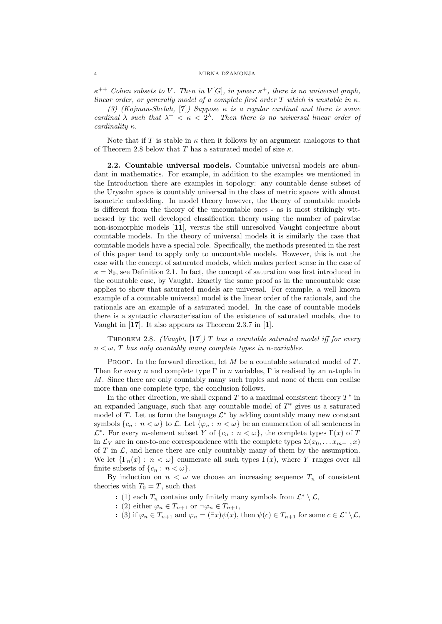$\kappa^{++}$  Cohen subsets to V. Then in V[G], in power  $\kappa^+$ , there is no universal graph, linear order, or generally model of a complete first order T which is unstable in  $\kappa$ .

(3) (Kojman-Shelah, [7]) Suppose  $\kappa$  is a regular cardinal and there is some cardinal  $\lambda$  such that  $\lambda^+ < \kappa < 2^{\lambda}$ . Then there is no universal linear order of cardinality κ.

Note that if T is stable in  $\kappa$  then it follows by an argument analogous to that of Theorem 2.8 below that T has a saturated model of size  $\kappa$ .

2.2. Countable universal models. Countable universal models are abundant in mathematics. For example, in addition to the examples we mentioned in the Introduction there are examples in topology: any countable dense subset of the Urysohn space is countably universal in the class of metric spaces with almost isometric embedding. In model theory however, the theory of countable models is different from the theory of the uncountable ones - as is most strikingly witnessed by the well developed classification theory using the number of pairwise non-isomorphic models [11], versus the still unresolved Vaught conjecture about countable models. In the theory of universal models it is similarly the case that countable models have a special role. Specifically, the methods presented in the rest of this paper tend to apply only to uncountable models. However, this is not the case with the concept of saturated models, which makes perfect sense in the case of  $\kappa = \aleph_0$ , see Definition 2.1. In fact, the concept of saturation was first introduced in the countable case, by Vaught. Exactly the same proof as in the uncountable case applies to show that saturated models are universal. For example, a well known example of a countable universal model is the linear order of the rationals, and the rationals are an example of a saturated model. In the case of countable models there is a syntactic characterisation of the existence of saturated models, due to Vaught in [17]. It also appears as Theorem 2.3.7 in [1].

THEOREM 2.8. (Vaught, [17]) T has a countable saturated model iff for every  $n < \omega$ , T has only countably many complete types in n-variables.

PROOF. In the forward direction, let M be a countable saturated model of T. Then for every n and complete type  $\Gamma$  in n variables,  $\Gamma$  is realised by an n-tuple in M. Since there are only countably many such tuples and none of them can realise more than one complete type, the conclusion follows.

In the other direction, we shall expand  $T$  to a maximal consistent theory  $T^*$  in an expanded language, such that any countable model of  $T^*$  gives us a saturated model of T. Let us form the language  $\mathcal{L}^*$  by adding countably many new constant symbols  ${c_n : n < \omega}$  to L. Let  ${\varphi_n : n < \omega}$  be an enumeration of all sentences in  $\mathcal{L}^*$ . For every m-element subset Y of  $\{c_n : n < \omega\}$ , the complete types  $\Gamma(x)$  of T in  $\mathcal{L}_Y$  are in one-to-one correspondence with the complete types  $\Sigma(x_0, \ldots, x_{m-1}, x)$ of T in  $\mathcal{L}$ , and hence there are only countably many of them by the assumption. We let  $\{\Gamma_n(x): n < \omega\}$  enumerate all such types  $\Gamma(x)$ , where Y ranges over all finite subsets of  $\{c_n : n < \omega\}.$ 

By induction on  $n < \omega$  we choose an increasing sequence  $T_n$  of consistent theories with  $T_0 = T$ , such that

: (1) each  $T_n$  contains only finitely many symbols from  $\mathcal{L}^* \setminus \mathcal{L}$ ,

- : (2) either  $\varphi_n \in T_{n+1}$  or  $\neg \varphi_n \in T_{n+1}$ ,
- : (3) if  $\varphi_n \in T_{n+1}$  and  $\varphi_n = (\exists x) \psi(x)$ , then  $\psi(c) \in T_{n+1}$  for some  $c \in \mathcal{L}^* \setminus \mathcal{L}$ ,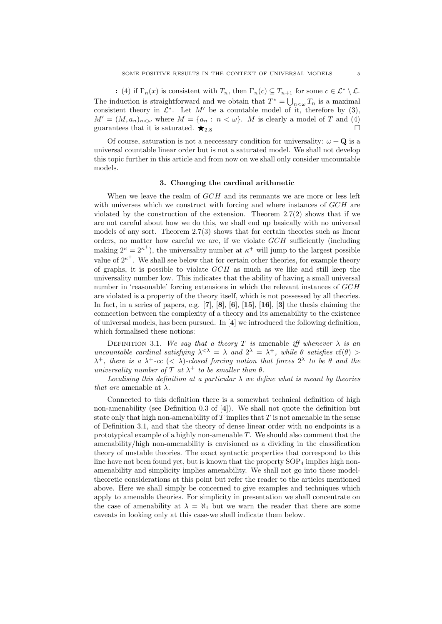: (4) if  $\Gamma_n(x)$  is consistent with  $T_n$ , then  $\Gamma_n(c) \subseteq T_{n+1}$  for some  $c \in \mathcal{L}^* \setminus \mathcal{L}$ . The induction is straightforward and we obtain that  $T^* = \bigcup_{n<\omega} T_n$  is a maximal consistent theory in  $\mathcal{L}^*$ . Let M' be a countable model of it, therefore by (3),  $M' = (M, a_n)_{n \leq \omega}$  where  $M = \{a_n : n \leq \omega\}$ . M is clearly a model of T and (4) guarantees that it is saturated.  $\bigstar_{2.8}$ 

Of course, saturation is not a neccessary condition for universality:  $\omega + \mathbf{Q}$  is a universal countable linear order but is not a saturated model. We shall not develop this topic further in this article and from now on we shall only consider uncountable models.

# 3. Changing the cardinal arithmetic

When we leave the realm of  $GCH$  and its remnants we are more or less left with universes which we construct with forcing and where instances of GCH are violated by the construction of the extension. Theorem 2.7(2) shows that if we are not careful about how we do this, we shall end up basically with no universal models of any sort. Theorem 2.7(3) shows that for certain theories such as linear orders, no matter how careful we are, if we violate  $GCH$  sufficiently (including making  $2^{\kappa} = 2^{\kappa^+}$ , the universality number at  $\kappa^+$  will jump to the largest possible value of  $2^{\kappa^+}$ . We shall see below that for certain other theories, for example theory of graphs, it is possible to violate  $GCH$  as much as we like and still keep the universality number low. This indicates that the ability of having a small universal number in 'reasonable' forcing extensions in which the relevant instances of  $GCH$ are violated is a property of the theory itself, which is not possessed by all theories. In fact, in a series of papers, e.g.  $[7]$ ,  $[8]$ ,  $[6]$ ,  $[15]$ ,  $[16]$ ,  $[3]$  the thesis claiming the connection between the complexity of a theory and its amenability to the existence of universal models, has been pursued. In [4] we introduced the following definition, which formalised these notions:

DEFINITION 3.1. We say that a theory T is amenable iff whenever  $\lambda$  is an uncountable cardinal satisfying  $\lambda^{<\lambda} = \lambda$  and  $2^{\lambda} = \lambda^{+}$ , while  $\theta$  satisfies  $cf(\theta)$  $\lambda^+$ , there is a  $\lambda^+$ -cc (<  $\lambda$ )-closed forcing notion that forces  $2^{\lambda}$  to be  $\theta$  and the universality number of T at  $\lambda^+$  to be smaller than  $\theta$ .

Localising this definition at a particular  $\lambda$  we define what is meant by theories that are amenable at  $\lambda$ .

Connected to this definition there is a somewhat technical definition of high non-amenability (see Definition 0.3 of [4]). We shall not quote the definition but state only that high non-amenability of  $T$  implies that  $T$  is not amenable in the sense of Definition 3.1, and that the theory of dense linear order with no endpoints is a prototypical example of a highly non-amenable  $T$ . We should also comment that the amenability/high non-amenability is envisioned as a dividing in the classification theory of unstable theories. The exact syntactic properties that correspond to this line have not been found yet, but is known that the property  $SOP<sub>4</sub>$  implies high nonamenability and simplicity implies amenability. We shall not go into these modeltheoretic considerations at this point but refer the reader to the articles mentioned above. Here we shall simply be concerned to give examples and techniques which apply to amenable theories. For simplicity in presentation we shall concentrate on the case of amenability at  $\lambda = \aleph_1$  but we warn the reader that there are some caveats in looking only at this case-we shall indicate them below.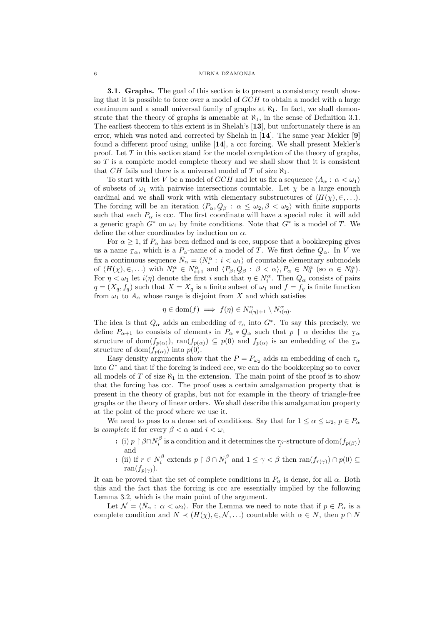3.1. Graphs. The goal of this section is to present a consistency result showing that it is possible to force over a model of  $GCH$  to obtain a model with a large continuum and a small universal family of graphs at  $\aleph_1$ . In fact, we shall demonstrate that the theory of graphs is amenable at  $\aleph_1$ , in the sense of Definition 3.1. The earliest theorem to this extent is in Shelah's [13], but unfortunately there is an error, which was noted and corrected by Shelah in  $[14]$ . The same year Mekler  $[9]$ found a different proof using, unlike [14], a ccc forcing. We shall present Mekler's proof. Let  $T$  in this section stand for the model completion of the theory of graphs, so T is a complete model complete theory and we shall show that it is consistent that CH fails and there is a universal model of T of size  $\aleph_1$ .

To start with let V be a model of  $GCH$  and let us fix a sequence  $\langle A_\alpha : \alpha < \omega_1 \rangle$ of subsets of  $\omega_1$  with pairwise intersections countable. Let  $\chi$  be a large enough cardinal and we shall work with with elementary substructures of  $\langle H(\chi), \in, \ldots \rangle$ . The forcing will be an iteration  $\langle P_\alpha, Q_\beta : \alpha \leq \omega_2, \beta < \omega_2 \rangle$  with finite supports such that each  $P_{\alpha}$  is ccc. The first coordinate will have a special role: it will add a generic graph  $G^*$  on  $\omega_1$  by finite conditions. Note that  $G^*$  is a model of T. We define the other coordinates by induction on  $\alpha$ .

For  $\alpha \geq 1$ , if  $P_{\alpha}$  has been defined and is ccc, suppose that a bookkeeping gives us a name  $\tau_{\alpha}$ , which is a  $P_{\alpha}$ -name of a model of T. We first define  $Q_{\alpha}$ . In V we fix a continuous sequence  $\overline{N}_{\alpha} = \langle N_i^{\alpha} : i < \omega_1 \rangle$  of countable elementary submodels of  $\langle H(\chi), \in, \ldots \rangle$  with  $N_i^{\alpha} \in N_{i+1}^{\alpha}$  and  $\langle P_{\beta}, Q_{\beta} : \beta < \alpha \rangle, P_{\alpha} \in N_0^{\alpha}$  (so  $\alpha \in N_0^{\alpha}$ ). For  $\eta < \omega_1$  let  $i(\eta)$  denote the first i such that  $\eta \in N_i^{\alpha}$ . Then  $Q_{\alpha}$  consists of pairs  $q = (X_q, f_q)$  such that  $X = X_q$  is a finite subset of  $\omega_1$  and  $f = f_q$  is finite function from  $\omega_1$  to  $A_\alpha$  whose range is disjoint from X and which satisfies

$$
\eta \in \text{dom}(f) \implies f(\eta) \in N_{i(\eta)+1}^{\alpha} \setminus N_{i(\eta)}^{\alpha}.
$$

The idea is that  $Q_{\alpha}$  adds an embedding of  $\tau_{\alpha}$  into  $G^*$ . To say this precisely, we define  $P_{\alpha+1}$  to consists of elements in  $P_{\alpha}*Q_{\alpha}$  such that  $p \restriction \alpha$  decides the  $\tau_{\alpha}$ structure of dom $(f_{p(\alpha)})$ ,  $\text{ran}(f_{p(\alpha)}) \subseteq p(0)$  and  $f_{p(\alpha)}$  is an embedding of the  $\tau_{\alpha}$ structure of dom $(f_{p(\alpha)})$  into  $p(0)$ .

Easy density arguments show that the  $P = P_{\omega_2}$  adds an embedding of each  $\tau_{\alpha}$ into  $G^*$  and that if the forcing is indeed ccc, we can do the bookkeeping so to cover all models of  $T$  of size  $\aleph_1$  in the extension. The main point of the proof is to show that the forcing has ccc. The proof uses a certain amalgamation property that is present in the theory of graphs, but not for example in the theory of triangle-free graphs or the theory of linear orders. We shall describe this amalgamation property at the point of the proof where we use it.

We need to pass to a dense set of conditions. Say that for  $1 \leq \alpha \leq \omega_2$ ,  $p \in P_\alpha$ is *complete* if for every  $\beta < \alpha$  and  $i < \omega_1$ 

- : (i)  $p \restriction \beta \cap N_i^{\beta}$  is a condition and it determines the  $\tau_{\beta}$ -structure of dom $(f_{p(\beta)})$ and  $\sim$
- : (ii) if  $r \in N_i^{\beta}$  extends  $p \restriction \beta \cap N_i^{\beta}$  and  $1 \leq \gamma < \beta$  then  $\text{ran}(f_{r(\gamma)}) \cap p(0) \subseteq$ ran $(f_{n(\gamma)})$

It can be proved that the set of complete conditions in  $P_\alpha$  is dense, for all  $\alpha$ . Both this and the fact that the forcing is ccc are essentially implied by the following Lemma 3.2, which is the main point of the argument.

Let  $\mathcal{N} = \langle \bar{N}_{\alpha} : \alpha < \omega_2 \rangle$ . For the Lemma we need to note that if  $p \in P_{\alpha}$  is a complete condition and  $N \prec (H(\chi), \in, \mathcal{N}, ...)$  countable with  $\alpha \in N$ , then  $p \cap N$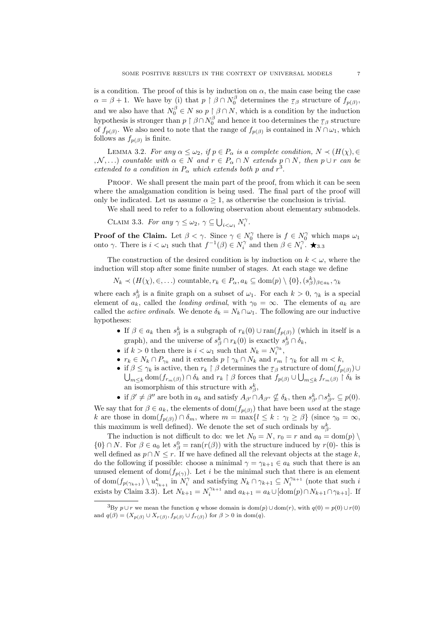is a condition. The proof of this is by induction on  $\alpha$ , the main case being the case  $\alpha = \beta + 1$ . We have by (i) that  $p \restriction \beta \cap N_0^{\beta}$  determines the  $\tau_{\beta}$  structure of  $f_{p(\beta)}$ , and we also have that  $N_0^{\beta} \in N$  so  $p \upharpoonright \beta \cap N$ , which is a condition by the induction hypothesis is stronger than  $p \restriction \beta \cap N_0^{\beta}$  and hence it too determines the  $\tau_{\beta}$  structure of  $f_{p(\beta)}$ . We also need to note that the range of  $f_{p(\beta)}$  is contained in  $N \cap \omega_1$ , which follows as  $f_{p(\beta)}$  is finite.

LEMMA 3.2. For any  $\alpha \leq \omega_2$ , if  $p \in P_\alpha$  is a complete condition,  $N \prec (H(\chi), \in$  $, \mathcal{N}, \ldots$ ) countable with  $\alpha \in N$  and  $r \in P_\alpha \cap N$  extends  $p \cap N$ , then  $p \cup r$  can be extended to a condition in  $P_{\alpha}$  which extends both p and  $r^3$ .

PROOF. We shall present the main part of the proof, from which it can be seen where the amalgamation condition is being used. The final part of the proof will only be indicated. Let us assume  $\alpha > 1$ , as otherwise the conclusion is trivial.

We shall need to refer to a following observation about elementary submodels.

CLAIM 3.3. For any  $\gamma \leq \omega_2$ ,  $\gamma \subseteq \bigcup_{i < \omega_1} N_i^{\gamma}$ .

**Proof of the Claim.** Let  $\beta < \gamma$ . Since  $\gamma \in N_0^{\gamma}$  there is  $f \in N_0^{\gamma}$  which maps  $\omega_1$ onto γ. There is  $i < \omega_1$  such that  $f^{-1}(\beta) \in N_i^{\gamma}$  and then  $\beta \in N_i^{\gamma}$ . ★3.3

The construction of the desired condition is by induction on  $k < \omega$ , where the induction will stop after some finite number of stages. At each stage we define

 $N_k \prec (H(\chi), \in, \ldots)$  countable,  $r_k \in P_\alpha$ ,  $a_k \subseteq \text{dom}(p) \setminus \{0\}$ ,  $(s_\beta^k)_{\beta \in a_k}$ ,  $\gamma_k$ 

where each  $s_{\beta}^k$  is a finite graph on a subset of  $\omega_1$ . For each  $k > 0$ ,  $\gamma_k$  is a special element of  $a_k$ , called the *leading ordinal*, with  $\gamma_0 = \infty$ . The elements of  $a_k$  are called the *active ordinals*. We denote  $\delta_k = N_k \cap \omega_1$ . The following are our inductive hypotheses:

- If  $\beta \in a_k$  then  $s_{\beta}^k$  is a subgraph of  $r_k(0) \cup \text{ran}(f_{p(\beta)})$  (which in itself is a graph), and the universe of  $s_{\beta}^k \cap r_k(0)$  is exactly  $s_{\beta}^k \cap \delta_k$ ,
- if  $k > 0$  then there is  $i < \omega_1$  such that  $N_k = N_i^{\gamma_k}$ ,
- $r_k \in N_k \cap P_{\gamma_k}$  and it extends  $p \restriction \gamma_k \cap N_k$  and  $r_m \restriction \gamma_k$  for all  $m < k$ ,
- if  $\beta \leq \gamma_k$  is active, then  $r_k \restriction \beta$  determines the  $\tau_\beta$  structure of dom $(f_{p(\beta)}) \cup$  $\bigcup_{m\leq k}$  dom $(f_{r_m(\beta)}) \cap \delta_k$  and  $r_k \restriction \beta$  forces that  $f_{p(\beta)} \cup \bigcup_{m\leq k} f_{r_m(\beta)} \restriction \delta_k$  is an isomorphism of this structure with  $s_{\beta}^k$ ,
- if  $\beta' \neq \beta''$  are both in  $a_k$  and satisfy  $A_{\beta'} \cap A_{\beta''} \nsubseteq \delta_k$ , then  $s_{\beta'}^k \cap s_{\beta''}^k \subseteq p(0)$ .

We say that for  $\beta \in a_k$ , the elements of dom $(f_{p(\beta)})$  that have been used at the stage k are those in dom $(f_{p(\beta)}) \cap \delta_m$ , where  $m = \max\{l \leq k : \gamma_l \geq \beta\}$  (since  $\gamma_0 = \infty$ , this maximum is well defined). We denote the set of such ordinals by  $u_{\beta}^k$ .

The induction is not difficult to do: we let  $N_0 = N$ ,  $r_0 = r$  and  $a_0 = \text{dom}(p)$  $\{0\} \cap N$ . For  $\beta \in a_0$  let  $s_\beta^0 = \text{ran}(r(\beta))$  with the structure induced by  $r(0)$ - this is well defined as  $p \cap N \leq r$ . If we have defined all the relevant objects at the stage k, do the following if possible: choose a minimal  $\gamma = \gamma_{k+1} \in a_k$  such that there is an unused element of dom $(f_{p(\gamma)})$ . Let i be the minimal such that there is an element of dom $(f_{p(\gamma_{k+1})} \setminus u_{\gamma_{k+1}}^k$  in  $N_i^{\gamma}$  and satisfying  $N_k \cap \gamma_{k+1} \subseteq N_i^{\gamma_{k+1}}$  (note that such i exists by Claim 3.3). Let  $N_{k+1} = N_i^{\gamma_{k+1}}$  and  $a_{k+1} = a_k \cup [\text{dom}(p) \cap N_{k+1} \cap \gamma_{k+1}]$ . If

<sup>&</sup>lt;sup>3</sup>By  $p \cup r$  we mean the function q whose domain is dom(p)  $\cup$  dom(r), with  $q(0) = p(0) \cup r(0)$ and  $q(\beta) = (X_{p(\beta)} \cup X_{r(\beta)}, f_{p(\beta)} \cup f_{r(\beta)})$  for  $\beta > 0$  in dom(q).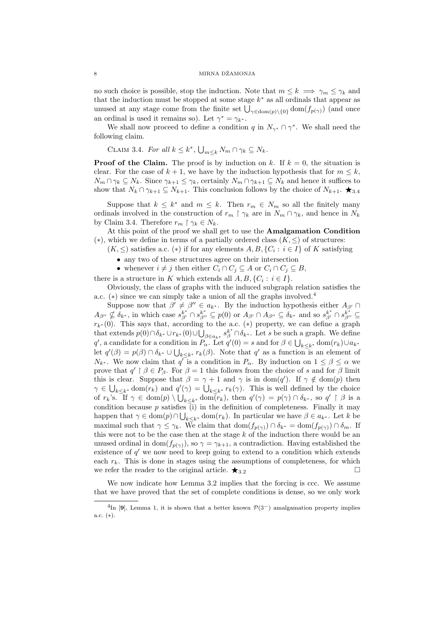no such choice is possible, stop the induction. Note that  $m \leq k \implies \gamma_m \leq \gamma_k$  and that the induction must be stopped at some stage  $k^*$  as all ordinals that appear as unused at any stage come from the finite set  $\bigcup_{\gamma \in \text{dom}(p) \setminus \{0\}} \text{dom}(f_{p(\gamma)})$  (and once an ordinal is used it remains so). Let  $\gamma^* = \gamma_{k^*}$ .

We shall now proceed to define a condition q in  $N_{\gamma^*} \cap \gamma^*$ . We shall need the following claim.

CLAIM 3.4. For all  $k \leq k^*$ ,  $\bigcup_{m \leq k} N_m \cap \gamma_k \subseteq N_k$ .

**Proof of the Claim.** The proof is by induction on k. If  $k = 0$ , the situation is clear. For the case of  $k + 1$ , we have by the induction hypothesis that for  $m \leq k$ ,  $N_m \cap \gamma_k \subseteq N_k$ . Since  $\gamma_{k+1} \leq \gamma_k$ , certainly  $N_m \cap \gamma_{k+1} \subseteq N_k$  and hence it suffices to show that  $N_k \cap \gamma_{k+1} \subseteq N_{k+1}$ . This conclusion follows by the choice of  $N_{k+1}$ .  $\bigstar_{3.4}$ 

Suppose that  $k \leq k^*$  and  $m \leq k$ . Then  $r_m \in N_m$  so all the finitely many ordinals involved in the construction of  $r_m \restriction \gamma_k$  are in  $N_m \cap \gamma_k$ , and hence in  $N_k$ by Claim 3.4. Therefore  $r_m \restriction \gamma_k \in N_k$ .

At this point of the proof we shall get to use the Amalgamation Condition (\*), which we define in terms of a partially ordered class  $(K, \leq)$  of structures:

 $(K, \leq)$  satisfies a.c.  $(*)$  if for any elements  $A, B, \{C_i : i \in I\}$  of K satisfying

• any two of these structures agree on their intersection

• whenever  $i \neq j$  then either  $C_i \cap C_j \subseteq A$  or  $C_i \cap C_j \subseteq B$ ,

there is a structure in K which extends all  $A, B, \{C_i : i \in I\}$ .

Obviously, the class of graphs with the induced subgraph relation satisfies the a.c. (\*) since we can simply take a union of all the graphs involved.<sup>4</sup>

Suppose now that  $\beta' \neq \beta'' \in a_{k^*}$ . By the induction hypothesis either  $A_{\beta'} \cap$  $A_{\beta\prime\prime} \nsubseteq \delta_{k^*}$ , in which case  $s_{\beta\prime}^{k^*} \cap s_{\beta\prime\prime}^{k^*} \subseteq p(0)$  or  $A_{\beta\prime} \cap A_{\beta\prime\prime} \subseteq \delta_{k^*}$  and so  $s_{\beta\prime}^{k^*} \cap s_{\beta\prime\prime}^{k^*} \subseteq$  $r_{k^*}(0)$ . This says that, according to the a.c. (\*) property, we can define a graph that extends  $p(0) \cap \delta_{k^*} \cup r_{k^*}(0) \cup \bigcup_{\beta \in a_{k^*}} s_{\beta}^{k^*} \cap \delta_{k^*}$ . Let s be such a graph. We define q', a candidate for a condition in  $P_{\alpha}$ . Let  $q'(0) = s$  and for  $\beta \in \bigcup_{k \leq k^*} \text{dom}(r_k) \cup a_{k^*}$ let  $q'(\beta) = p(\beta) \cap \delta_{k^*} \cup \bigcup_{k \leq k^*} r_k(\beta)$ . Note that  $q'$  as a function is an element of  $N_{k^*}$ . We now claim that  $q^{\mathsf{T}}$  is a condition in  $P_\alpha$ . By induction on  $1 \leq \beta \leq \alpha$  we prove that  $q' \upharpoonright \beta \in P_{\beta}$ . For  $\beta = 1$  this follows from the choice of s and for  $\beta$  limit this is clear. Suppose that  $\beta = \gamma + 1$  and  $\gamma$  is in dom(q'). If  $\gamma \notin \text{dom}(p)$  then  $\gamma \in \bigcup_{k \leq k^*} \text{dom}(r_k)$  and  $q'(\gamma) = \bigcup_{k \leq k^*} r_k(\gamma)$ . This is well defined by the choice of  $r_k$ 's. If  $\gamma \in \text{dom}(p) \setminus \bigcup_{k \leq k^*} \text{dom}(\overline{r}_k)$ , then  $q'(\gamma) = p(\gamma) \cap \delta_{k^*}$ , so  $q' \restriction \beta$  is a condition because  $p$  satisfies (i) in the definition of completeness. Finally it may happen that  $\gamma \in \text{dom}(p) \cap \bigcup_{k \leq k^*} \text{dom}(r_k)$ . In particular we have  $\beta \in a_{k^*}$ . Let k be maximal such that  $\gamma \leq \gamma_k$ . We claim that  $\text{dom}(f_{p(\gamma)}) \cap \delta_{k^*} = \text{dom}(f_{p(\gamma)}) \cap \delta_m$ . If this were not to be the case then at the stage  $k$  of the induction there would be an unused ordinal in dom $(f_{p(\gamma)})$ , so  $\gamma = \gamma_{k+1}$ , a contradiction. Having established the existence of  $q'$  we now need to keep going to extend to a condition which extends each  $r_k$ . This is done in stages using the assumptions of completeness, for which we refer the reader to the original article.  $\bigstar_{3.2}$ 

We now indicate how Lemma 3.2 implies that the forcing is ccc. We assume that we have proved that the set of complete conditions is dense, so we only work

<sup>&</sup>lt;sup>4</sup>In [9], Lemma 1, it is shown that a better known  $\mathcal{P}(3^-)$  amalgamation property implies a.c. (∗).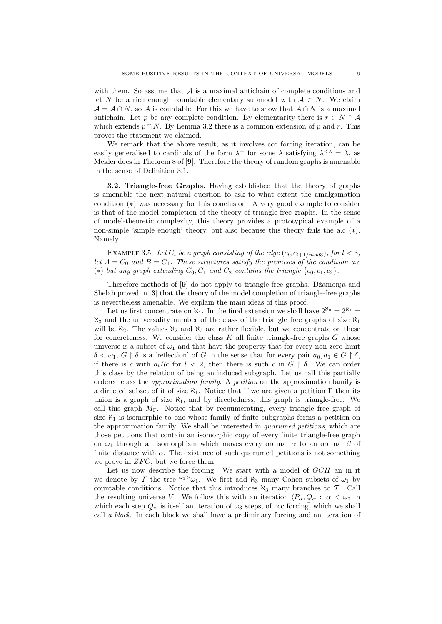with them. So assume that  $A$  is a maximal antichain of complete conditions and let N be a rich enough countable elementary submodel with  $A \in N$ . We claim  $\mathcal{A} = \mathcal{A} \cap N$ , so  $\mathcal{A}$  is countable. For this we have to show that  $\mathcal{A} \cap N$  is a maximal antichain. Let p be any complete condition. By elementarity there is  $r \in N \cap A$ which extends  $p \cap N$ . By Lemma 3.2 there is a common extension of p and r. This proves the statement we claimed.

We remark that the above result, as it involves ccc forcing iteration, can be easily generalised to cardinals of the form  $\lambda^+$  for some  $\lambda$  satisfying  $\lambda^{<\lambda} = \lambda$ , as Mekler does in Theorem 8 of [9]. Therefore the theory of random graphs is amenable in the sense of Definition 3.1.

3.2. Triangle-free Graphs. Having established that the theory of graphs is amenable the next natural question to ask to what extent the amalgamation condition (∗) was necessary for this conclusion. A very good example to consider is that of the model completion of the theory of triangle-free graphs. In the sense of model-theoretic complexity, this theory provides a prototypical example of a non-simple 'simple enough' theory, but also because this theory fails the a.c (∗). Namely

EXAMPLE 3.5. Let  $C_l$  be a graph consisting of the edge  $(c_l, c_{l+1/mod3})$ , for  $l < 3$ , let  $A = C_0$  and  $B = C_1$ . These structures satisfy the premises of the condition a.c. (\*) but any graph extending  $C_0, C_1$  and  $C_2$  contains the triangle  $\{c_0, c_1, c_2\}$ .

Therefore methods of [9] do not apply to triangle-free graphs. Džamonja and Shelah proved in [3] that the theory of the model completion of triangle-free graphs is nevertheless amenable. We explain the main ideas of this proof.

Let us first concentrate on  $\aleph_1$ . In the final extension we shall have  $2^{\aleph_0} = 2^{\aleph_1} =$  $\aleph_3$  and the universality number of the class of the triangle free graphs of size  $\aleph_1$ will be  $\aleph_2$ . The values  $\aleph_2$  and  $\aleph_3$  are rather flexible, but we concentrate on these for concreteness. We consider the class  $K$  all finite triangle-free graphs  $G$  whose universe is a subset of  $\omega_1$  and that have the property that for every non-zero limit  $\delta < \omega_1, G \restriction \delta$  is a 'reflection' of G in the sense that for every pair  $a_0, a_1 \in G \restriction \delta$ , if there is c with  $a_l R c$  for  $l < 2$ , then there is such c in  $G \restriction \delta$ . We can order this class by the relation of being an induced subgraph. Let us call this partially ordered class the approximation family. A petition on the approximation family is a directed subset of it of size  $\aleph_1$ . Notice that if we are given a petition  $\Gamma$  then its union is a graph of size  $\aleph_1$ , and by directedness, this graph is triangle-free. We call this graph  $M_{\Gamma}$ . Notice that by reenumerating, every triangle free graph of size  $\aleph_1$  is isomorphic to one whose family of finite subgraphs forms a petition on the approximation family. We shall be interested in quorumed petitions, which are those petitions that contain an isomorphic copy of every finite triangle-free graph on  $\omega_1$  through an isomorphism which moves every ordinal  $\alpha$  to an ordinal  $\beta$  of finite distance with  $\alpha$ . The existence of such quorumed petitions is not something we prove in  $ZFC$ , but we force them.

Let us now describe the forcing. We start with a model of GCH an in it we denote by T the tree  $\omega_1 > \omega_1$ . We first add  $\aleph_3$  many Cohen subsets of  $\omega_1$  by countable conditions. Notice that this introduces  $\aleph_3$  many branches to T. Call the resulting universe V. We follow this with an iteration  $\langle P_\alpha, Q_\alpha : \alpha < \omega_2 \rangle$  in which each step  $Q_{\alpha}$  is itself an iteration of  $\omega_3$  steps, of ccc forcing, which we shall call *a block*. In each block we shall have a preliminary forcing and an iteration of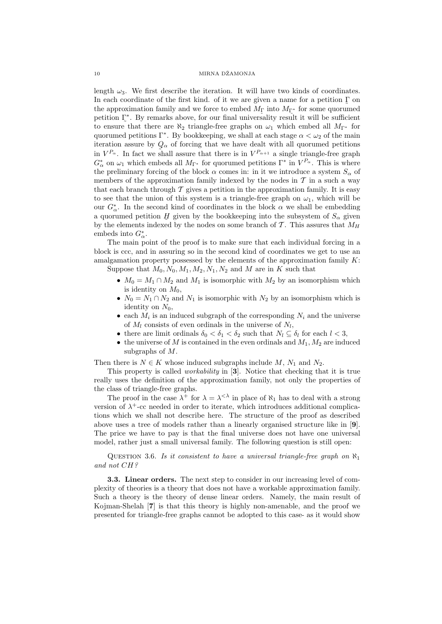length  $\omega_3$ . We first describe the iteration. It will have two kinds of coordinates. In each coordinate of the first kind. of it we are given a name for a petition  $\Gamma$  on the approximation family and we force to embed  $M_{\Gamma}$  into  $M_{\Gamma^*}$  for some quorumed ˜ ˜ petition Γ<sup>∗</sup> . By remarks above, for our final universality result it will be sufficient to ensure that there are  $\aleph_2$  triangle-free graphs on  $\omega_1$  which embed all  $M_{\Gamma^*}$  for quorumed petitions  $\Gamma^*$ . By bookkeeping, we shall at each stage  $\alpha < \omega_2$  of the main iteration assure by  $Q_{\alpha}$  of forcing that we have dealt with all quorumed petitions in  $V^{P_\alpha}$ . In fact we shall assure that there is in  $V^{P_{\alpha+1}}$  a single triangle-free graph  $G^*_{\alpha}$  on  $\omega_1$  which embeds all  $M_{\Gamma^*}$  for quorumed petitions  $\Gamma^*$  in  $V^{P_{\alpha}}$ . This is where the preliminary forcing of the block  $\alpha$  comes in: in it we introduce a system  $S_{\alpha}$  of members of the approximation family indexed by the nodes in  $\mathcal T$  in a such a way that each branch through  $\mathcal T$  gives a petition in the approximation family. It is easy to see that the union of this system is a triangle-free graph on  $\omega_1$ , which will be our  $G^*_{\alpha}$ . In the second kind of coordinates in the block  $\alpha$  we shall be embedding a quorumed petition  $\underline{H}$  given by the bookkeeping into the subsystem of  $S_{\alpha}$  given by the elements indexed by the nodes on some branch of  $\mathcal T$ . This assures that  $M_H$ embeds into  $G^*_{\alpha}$ .

The main point of the proof is to make sure that each individual forcing in a block is ccc, and in assuring so in the second kind of coordinates we get to use an amalgamation property possessed by the elements of the approximation family  $K$ : Suppose that  $M_0, N_0, M_1, M_2, N_1, N_2$  and M are in K such that

- $M_0 = M_1 \cap M_2$  and  $M_1$  is isomorphic with  $M_2$  by an isomorphism which is identity on  $M_0$ ,
- $N_0 = N_1 \cap N_2$  and  $N_1$  is isomorphic with  $N_2$  by an isomorphism which is identity on  $N_0$ ,
- each  $M_i$  is an induced subgraph of the corresponding  $N_i$  and the universe of  $M_l$  consists of even ordinals in the universe of  $N_l$ ,
- there are limit ordinals  $\delta_0 < \delta_1 < \delta_2$  such that  $N_l \subseteq \delta_l$  for each  $l < 3$ ,
- the universe of M is contained in the even ordinals and  $M_1, M_2$  are induced subgraphs of M.

Then there is  $N \in K$  whose induced subgraphs include  $M$ ,  $N_1$  and  $N_2$ .

This property is called workability in [3]. Notice that checking that it is true really uses the definition of the approximation family, not only the properties of the class of triangle-free graphs.

The proof in the case  $\lambda^+$  for  $\lambda = \lambda^{<\lambda}$  in place of  $\aleph_1$  has to deal with a strong version of  $\lambda^{+}$ -cc needed in order to iterate, which introduces additional complications which we shall not describe here. The structure of the proof as described above uses a tree of models rather than a linearly organised structure like in [9]. The price we have to pay is that the final universe does not have one universal model, rather just a small universal family. The following question is still open:

QUESTION 3.6. Is it consistent to have a universal triangle-free graph on  $\aleph_1$ and not CH?

3.3. Linear orders. The next step to consider in our increasing level of complexity of theories is a theory that does not have a workable approximation family. Such a theory is the theory of dense linear orders. Namely, the main result of Kojman-Shelah [7] is that this theory is highly non-amenable, and the proof we presented for triangle-free graphs cannot be adopted to this case- as it would show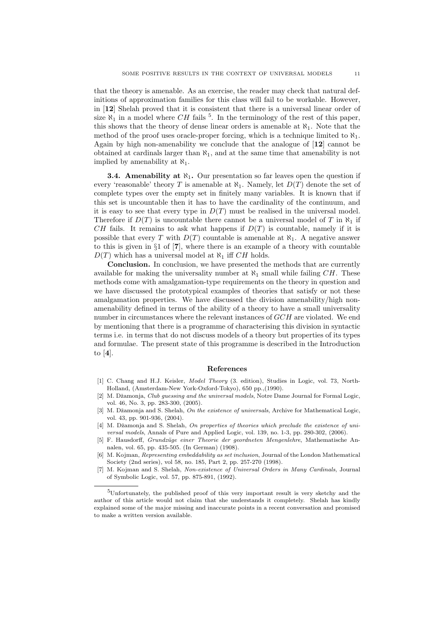that the theory is amenable. As an exercise, the reader may check that natural definitions of approximation families for this class will fail to be workable. However, in [12] Shelah proved that it is consistent that there is a universal linear order of size  $\aleph_1$  in a model where CH fails <sup>5</sup>. In the terminology of the rest of this paper, this shows that the theory of dense linear orders is amenable at  $\aleph_1$ . Note that the method of the proof uses oracle-proper forcing, which is a technique limited to  $\aleph_1$ . Again by high non-amenability we conclude that the analogue of [12] cannot be obtained at cardinals larger than  $\aleph_1$ , and at the same time that amenability is not implied by amenability at  $\aleph_1$ .

**3.4. Amenability at**  $\aleph_1$ **.** Our presentation so far leaves open the question if every 'reasonable' theory T is amenable at  $\aleph_1$ . Namely, let  $D(T)$  denote the set of complete types over the empty set in finitely many variables. It is known that if this set is uncountable then it has to have the cardinality of the continuum, and it is easy to see that every type in  $D(T)$  must be realised in the universal model. Therefore if  $D(T)$  is uncountable there cannot be a universal model of T in  $\aleph_1$  if CH fails. It remains to ask what happens if  $D(T)$  is countable, namely if it is possible that every T with  $D(T)$  countable is amenable at  $\aleph_1$ . A negative answer to this is given in §1 of [7], where there is an example of a theory with countable  $D(T)$  which has a universal model at  $\aleph_1$  iff CH holds.

Conclusion. In conclusion, we have presented the methods that are currently available for making the universality number at  $\aleph_1$  small while failing  $CH$ . These methods come with amalgamation-type requirements on the theory in question and we have discussed the prototypical examples of theories that satisfy or not these amalgamation properties. We have discussed the division amenability/high nonamenability defined in terms of the ability of a theory to have a small universality number in circumstances where the relevant instances of  $GCH$  are violated. We end by mentioning that there is a programme of characterising this division in syntactic terms i.e. in terms that do not discuss models of a theory but properties of its types and formulae. The present state of this programme is described in the Introduction to [4].

### References

- [1] C. Chang and H.J. Keisler, Model Theory (3. edition), Studies in Logic, vol. 73, North-Holland, (Amsterdam-New York-Oxford-Tokyo), 650 pp.,(1990).
- [2] M. Džamonja, Club guessing and the universal models, Notre Dame Journal for Formal Logic, vol. 46, No. 3, pp. 283-300, (2005).
- [3] M. Džamonia and S. Shelah, On the existence of universals, Archive for Mathematical Logic, vol. 43, pp. 901-936, (2004).
- [4] M. Džamonja and S. Shelah, On properties of theories which preclude the existence of universal models, Annals of Pure and Applied Logic, vol. 139, no. 1-3, pp. 280-302, (2006).
- [5] F. Hausdorff, Grundz¨uge einer Theorie der geordneten Mengenlehre, Mathematische Annalen, vol. 65, pp. 435-505. (In German) (1908).
- [6] M. Kojman, Representing embeddability as set inclusion, Journal of the London Mathematical Society (2nd series), vol 58, no. 185, Part 2, pp. 257-270 (1998).
- [7] M. Kojman and S. Shelah, Non-existence of Universal Orders in Many Cardinals, Journal of Symbolic Logic, vol. 57, pp. 875-891, (1992).

<sup>5</sup>Unfortunately, the published proof of this very important result is very sketchy and the author of this article would not claim that she understands it completely. Shelah has kindly explained some of the major missing and inaccurate points in a recent conversation and promised to make a written version available.